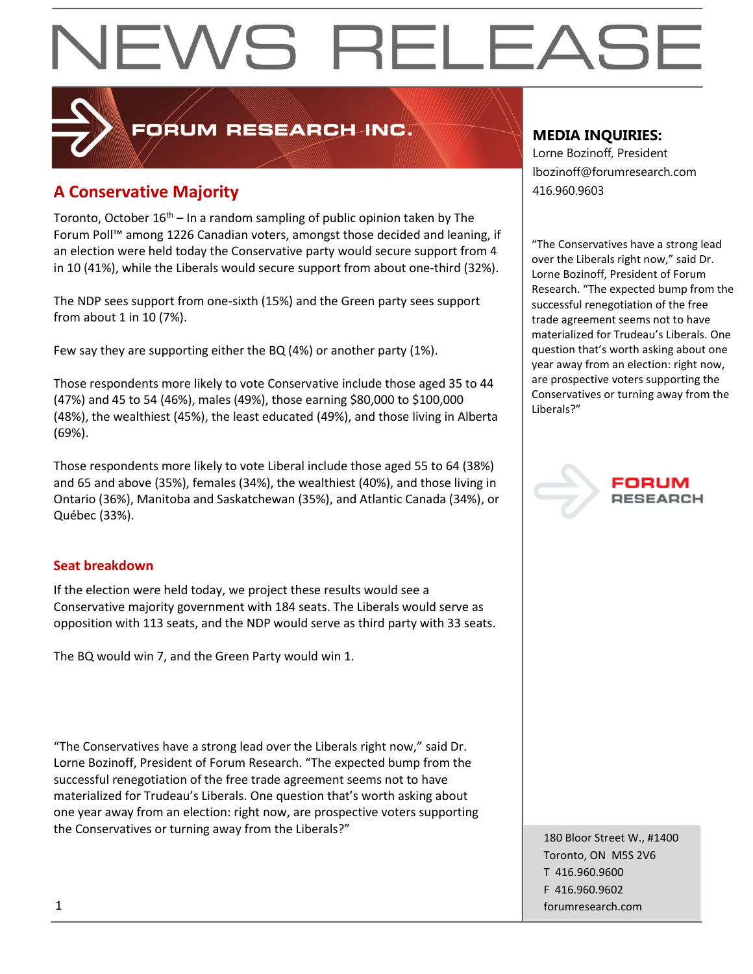### **A Conservative Majority A Conservative Majority**

Toronto, October  $16<sup>th</sup> - In a random sampling of public opinion taken by The$ Forum Poll™ among 1226 Canadian voters, amongst those decided and leaning, if an election were held today the Conservative party would secure support from 4 in 10 (41%), while the Liberals would secure support from about one-third (32%).

PRUM RESEARCH INC.

The NDP sees support from one-sixth (15%) and the Green party sees support from about 1 in 10 (7%).

Few say they are supporting either the BQ (4%) or another party (1%).

Those respondents more likely to vote Conservative include those aged 35 to 44 (47%) and 45 to 54 (46%), males (49%), those earning \$80,000 to \$100,000 (48%), the wealthiest (45%), the least educated (49%), and those living in Alberta (69%).

Those respondents more likely to vote Liberal include those aged 55 to 64 (38%) and 65 and above (35%), females (34%), the wealthiest (40%), and those living in Ontario (36%), Manitoba and Saskatchewan (35%), and Atlantic Canada (34%), or Québec (33%).

#### **Seat breakdown**

If the election were held today, we project these results would see a Conservative majority government with 184 seats. The Liberals would serve as opposition with 113 seats, and the NDP would serve as third party with 33 seats.

The BQ would win 7, and the Green Party would win 1.

"The Conservatives have a strong lead over the Liberals right now," said Dr. Lorne Bozinoff, President of Forum Research. "The expected bump from the successful renegotiation of the free trade agreement seems not to have materialized for Trudeau's Liberals. One question that's worth asking about one year away from an election: right now, are prospective voters supporting the Conservatives or turning away from the Liberals?"

#### **MEDIA INQUIRIES:**

Lorne Bozinoff, President lbozinoff@forumresearch.com

"The Conservatives have a strong lead over the Liberals right now," said Dr. Lorne Bozinoff, President of Forum Research. "The expected bump from the successful renegotiation of the free trade agreement seems not to have materialized for Trudeau's Liberals. One question that's worth asking about one year away from an election: right now, are prospective voters supporting the Conservatives or turning away from the Liberals?"



180 Bloor Street W., #1400 Toronto, ON M5S 2V6 T 416.960.9600 F 416.960.9602 1 forumresearch.com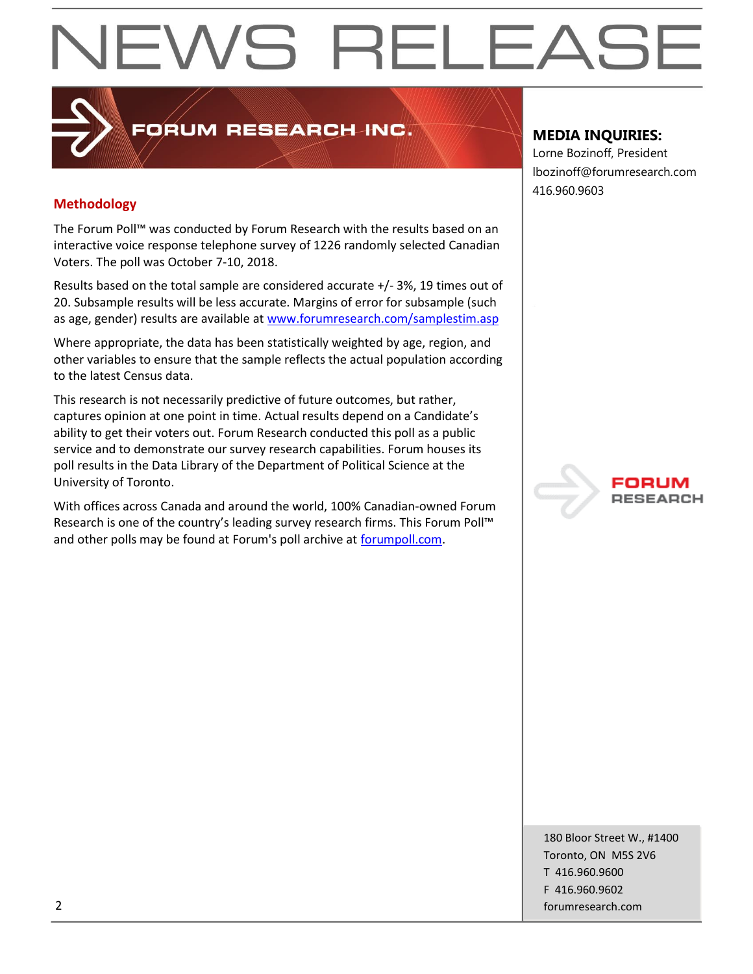#### **Methodology**

The Forum Poll™ was conducted by Forum Research with the results based on an interactive voice response telephone survey of 1226 randomly selected Canadian Voters. The poll was October 7-10, 2018.

**PRUM RESEARCH INC.** 

Results based on the total sample are considered accurate +/- 3%, 19 times out of 20. Subsample results will be less accurate. Margins of error for subsample (such as age, gender) results are available at [www.forumresearch.com/samplestim.asp](http://www.forumresearch.com/samplestim.asp)

Where appropriate, the data has been statistically weighted by age, region, and other variables to ensure that the sample reflects the actual population according to the latest Census data.

This research is not necessarily predictive of future outcomes, but rather, captures opinion at one point in time. Actual results depend on a Candidate's ability to get their voters out. Forum Research conducted this poll as a public service and to demonstrate our survey research capabilities. Forum houses its poll results in the Data Library of the Department of Political Science at the University of Toronto.

With offices across Canada and around the world, 100% Canadian-owned Forum Research is one of the country's leading survey research firms. This Forum Poll™ and other polls may be found at Forum's poll archive at [forumpoll.com.](file:///C:/Users/gmilakovic/Dropbox/Forum%20Poll%20Temporary/2017/November/TO/Releases/forumpoll.com)

#### **MEDIA INQUIRIES:**

Lorne Bozinoff, President lbozinoff@forumresearch.com 416.960.9603



180 Bloor Street W., #1400 Toronto, ON M5S 2V6 T 416.960.9600 F 416.960.9602 2 forumresearch.com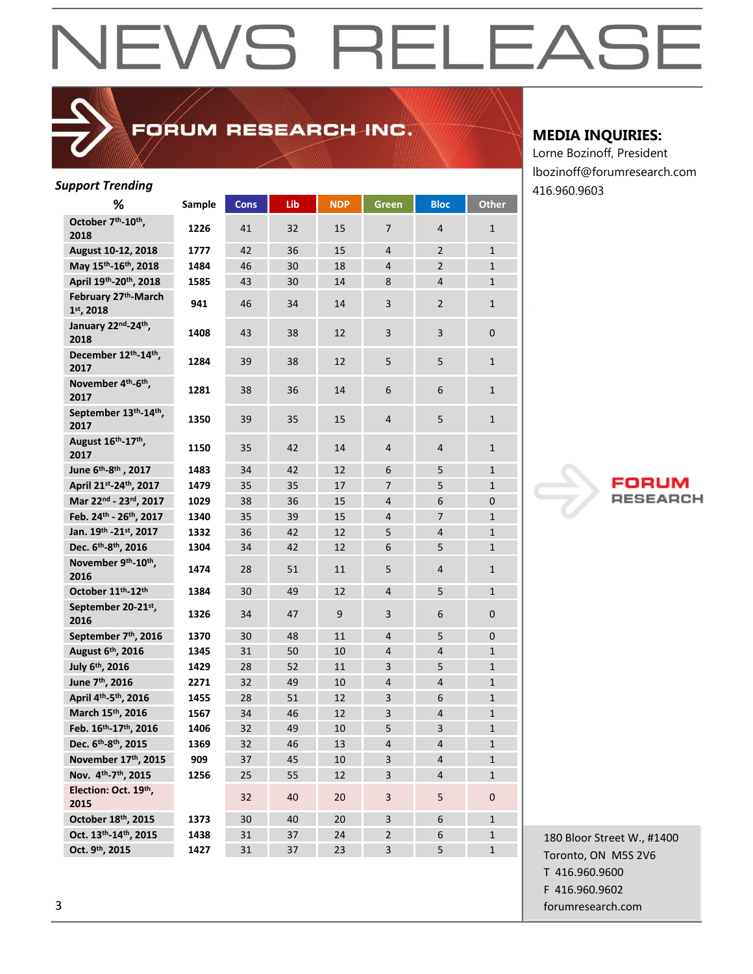### FORUM RESEARCH INC.

| <b>Support Trending</b>                             |        |             |     |            |                         |                         |              | 416.960.9603 |
|-----------------------------------------------------|--------|-------------|-----|------------|-------------------------|-------------------------|--------------|--------------|
| %                                                   | Sample | <b>Cons</b> | Lib | <b>NDP</b> | Green                   | <b>Bloc</b>             | Other        |              |
| October 7th-10th,<br>2018                           | 1226   | 41          | 32  | 15         | $\overline{7}$          | $\overline{4}$          | $\mathbf 1$  |              |
| August 10-12, 2018                                  | 1777   | 42          | 36  | 15         | $\overline{4}$          | $\overline{2}$          | $\mathbf 1$  |              |
| May 15th-16th, 2018                                 | 1484   | 46          | 30  | 18         | $\overline{4}$          | $\overline{2}$          | $\mathbf 1$  |              |
| April 19th-20th, 2018                               | 1585   | 43          | 30  | 14         | 8                       | $\overline{4}$          | $\mathbf{1}$ |              |
| February 27th-March<br>1st, 2018                    | 941    | 46          | 34  | 14         | 3                       | $\overline{2}$          | $\mathbf{1}$ |              |
| January 22nd-24th,<br>2018                          | 1408   | 43          | 38  | 12         | 3                       | $\overline{\mathbf{3}}$ | $\pmb{0}$    |              |
| December 12th-14th,<br>2017                         | 1284   | 39          | 38  | 12         | 5                       | 5                       | $\mathbf 1$  |              |
| November 4 <sup>th</sup> -6 <sup>th</sup> ,<br>2017 | 1281   | 38          | 36  | 14         | 6                       | 6                       | $\mathbf 1$  |              |
| September 13th-14th,<br>2017                        | 1350   | 39          | 35  | 15         | $\overline{4}$          | 5                       | $\mathbf{1}$ |              |
| August 16 <sup>th</sup> -17 <sup>th</sup> ,<br>2017 | 1150   | 35          | 42  | 14         | $\overline{4}$          | 4                       | $\mathbf 1$  |              |
| June 6 <sup>th</sup> -8 <sup>th</sup> , 2017        | 1483   | 34          | 42  | 12         | 6                       | 5                       | $\mathbf 1$  |              |
| April 21st-24th, 2017                               | 1479   | 35          | 35  | 17         | $\overline{7}$          | 5                       | $\mathbf{1}$ |              |
| Mar 22nd - 23rd, 2017                               | 1029   | 38          | 36  | 15         | 4                       | 6                       | $\mathbf{0}$ | V            |
| Feb. 24th - 26th, 2017                              | 1340   | 35          | 39  | 15         | $\overline{\mathbf{4}}$ | $\overline{7}$          | $\mathbf{1}$ |              |
| Jan. 19th -21st, 2017                               | 1332   | 36          | 42  | 12         | 5                       | $\overline{4}$          | $\mathbf 1$  |              |
| Dec. 6 <sup>th</sup> -8 <sup>th</sup> , 2016        | 1304   | 34          | 42  | 12         | 6                       | 5                       | $\mathbf{1}$ |              |
| November 9th-10th,<br>2016                          | 1474   | 28          | 51  | 11         | 5                       | $\overline{4}$          | $\mathbf{1}$ |              |
| October 11th-12th                                   | 1384   | 30          | 49  | 12         | $\overline{4}$          | 5                       | $\mathbf{1}$ |              |
| September 20-21st,<br>2016                          | 1326   | 34          | 47  | 9          | 3                       | 6                       | $\pmb{0}$    |              |
| September 7th, 2016                                 | 1370   | 30          | 48  | 11         | $\overline{4}$          | 5                       | $\pmb{0}$    |              |
| August 6th, 2016                                    | 1345   | 31          | 50  | 10         | $\overline{4}$          | 4                       | $\mathbf{1}$ |              |
| July 6th, 2016                                      | 1429   | 28          | 52  | 11         | 3                       | 5                       | $\mathbf{1}$ |              |
| June 7 <sup>th</sup> , 2016                         | 2271   | 32          | 49  | 10         | $\overline{\mathbf{4}}$ | $\overline{4}$          | $\mathbf{1}$ |              |
| April 4 <sup>th</sup> -5 <sup>th</sup> , 2016       | 1455   | 28          | 51  | 12         | 3                       | 6                       | $\mathbf{1}$ |              |
| March 15th, 2016                                    | 1567   | 34          | 46  | 12         | 3                       | $\overline{\mathbf{r}}$ | $\mathbf 1$  |              |
| Feb. 16th-17th, 2016                                | 1406   | 32          | 49  | $10\,$     | 5                       | $\mathbf{R}$            | $\mathbf{1}$ |              |
| Dec. 6th-8th, 2015                                  | 1369   | 32          | 46  | 13         | 4                       | 4                       | $\mathbf{1}$ |              |
| November 17th, 2015                                 | 909    | 37          | 45  | 10         | 3                       | $\overline{4}$          | $\mathbf{1}$ |              |
| Nov. 4th-7th, 2015                                  | 1256   | 25          | 55  | 12         | 3                       | $\overline{\mathbf{4}}$ | $\mathbf 1$  |              |
| Election: Oct. 19th,<br>2015                        |        | 32          | 40  | 20         | 3                       | 5                       | $\mathbf 0$  |              |
| October 18th, 2015                                  | 1373   | 30          | 40  | 20         | 3                       | 6                       | $\mathbf{1}$ |              |
| Oct. 13th-14th, 2015                                | 1438   | 31          | 37  | 24         | $\overline{2}$          | 6                       | $\mathbf{1}$ | 180 Bloor St |
| Oct. 9th, 2015                                      | 1427   | 31          | 37  | 23         | $\overline{\mathbf{3}}$ | 5                       | $\mathbf{1}$ | Toronto, ON  |
|                                                     |        |             |     |            |                         |                         |              |              |

#### **MEDIA INQUIRIES:**

Lorne Bozinoff, President lbozinoff@forumresearch.com



180 Bloor Street W., #1400 Toronto, ON M5S 2V6 T 416.960.9600 F 416.960.9602 3 forumresearch.com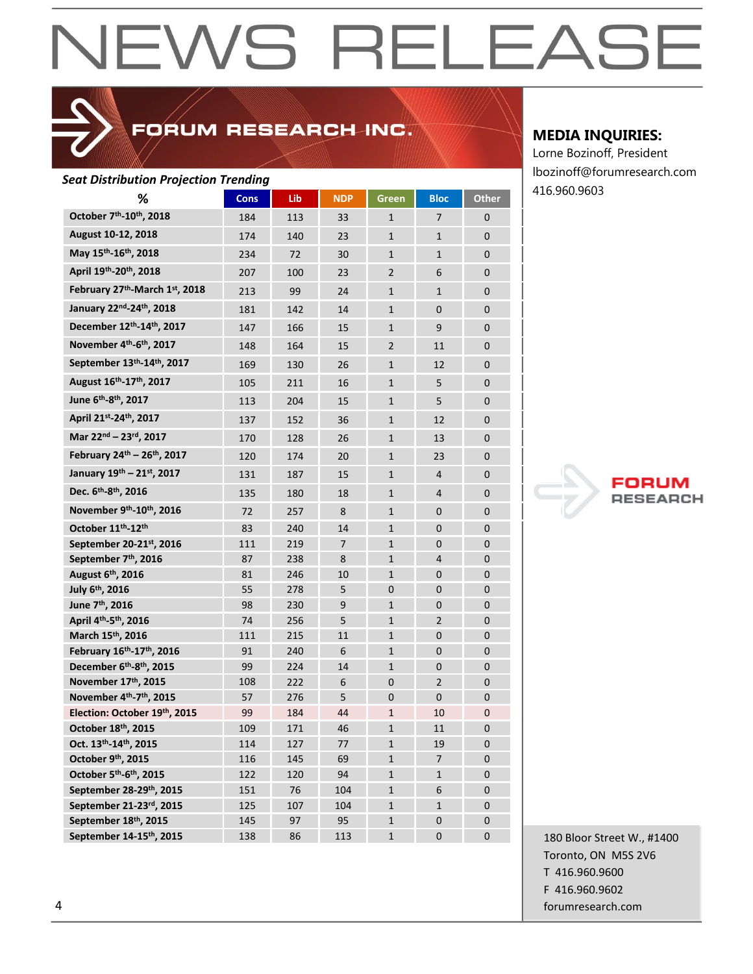### FORUM RESEARCH INC.

#### *Seat Distribution Projection Trending*

| at Distribution rejection richamy                  |             |     |            |                |                |                |
|----------------------------------------------------|-------------|-----|------------|----------------|----------------|----------------|
| %                                                  | <b>Cons</b> | Lib | <b>NDP</b> | Green          | <b>Bloc</b>    | Other          |
| October 7th-10th, 2018                             | 184         | 113 | 33         | $\mathbf{1}$   | 7              | $\mathbf{0}$   |
| August 10-12, 2018                                 | 174         | 140 | 23         | $\mathbf{1}$   | $\mathbf{1}$   | $\mathbf{0}$   |
| May 15th-16th, 2018                                | 234         | 72  | 30         | $\mathbf{1}$   | $\mathbf{1}$   | $\mathbf{0}$   |
| April 19th-20th, 2018                              | 207         | 100 | 23         | $\overline{2}$ | 6              | $\mathbf{0}$   |
| February 27th-March 1st, 2018                      | 213         | 99  | 24         | $\mathbf{1}$   | $\mathbf{1}$   | $\mathbf{0}$   |
| January 22nd-24th, 2018                            | 181         | 142 | 14         | $\mathbf{1}$   | $\mathbf{0}$   | $\mathbf{0}$   |
| December 12th-14th, 2017                           | 147         | 166 | 15         | $\mathbf{1}$   | 9              | $\mathbf{0}$   |
| November 4th-6th, 2017                             | 148         | 164 | 15         | $\overline{2}$ | 11             | $\mathbf{0}$   |
| September 13th-14th, 2017                          | 169         | 130 | 26         | $\mathbf{1}$   | 12             | $\mathbf{0}$   |
| August 16th-17th, 2017                             | 105         | 211 | 16         | $\mathbf{1}$   | 5              | $\mathbf{0}$   |
| June 6 <sup>th</sup> -8 <sup>th</sup> , 2017       | 113         | 204 | 15         | 1              | 5              | $\overline{0}$ |
| April 21st-24th, 2017                              | 137         | 152 | 36         | $\mathbf{1}$   | 12             | 0              |
| Mar 22nd - 23rd, 2017                              |             |     |            |                |                |                |
|                                                    | 170         | 128 | 26         | 1              | 13             | $\mathbf{0}$   |
| February 24th - 26th, 2017                         | 120         | 174 | 20         | $\mathbf{1}$   | 23             | $\mathbf{0}$   |
| January 19th - 21st, 2017                          | 131         | 187 | 15         | $\mathbf{1}$   | 4              | $\overline{0}$ |
| Dec. 6 <sup>th</sup> -8 <sup>th</sup> , 2016       | 135         | 180 | 18         | $\mathbf{1}$   | 4              | $\mathbf{0}$   |
| November 9th-10th, 2016                            | 72          | 257 | 8          | $\mathbf{1}$   | $\mathbf{0}$   | $\mathbf{0}$   |
| October 11th-12th                                  | 83          | 240 | 14         | $\mathbf{1}$   | $\overline{0}$ | $\overline{0}$ |
| September 20-21st, 2016                            | 111         | 219 | 7          | $\mathbf{1}$   | $\mathbf{0}$   | $\overline{0}$ |
| September 7th, 2016                                | 87          | 238 | 8          | $\mathbf{1}$   | 4              | $\mathbf{0}$   |
| August 6 <sup>th</sup> , 2016                      | 81          | 246 | 10         | $\mathbf{1}$   | $\mathbf{0}$   | 0              |
| July 6 <sup>th</sup> , 2016                        | 55          | 278 | 5          | $\mathbf{0}$   | $\mathbf{0}$   | 0              |
| June 7 <sup>th</sup> , 2016                        | 98          | 230 | 9          | $\mathbf{1}$   | 0              | 0              |
| April 4th-5th, 2016                                | 74          | 256 | 5          | $\mathbf{1}$   | $\overline{2}$ | $\mathbf{0}$   |
| March 15th, 2016                                   | 111         | 215 | 11         | $\mathbf{1}$   | $\mathbf{0}$   | $\mathbf{0}$   |
| February 16 <sup>th</sup> -17 <sup>th</sup> , 2016 | 91          | 240 | 6          | $\mathbf{1}$   | $\mathbf{0}$   | $\mathbf{0}$   |
| December 6th-8th, 2015                             | 99          | 224 | 14         | $\mathbf{1}$   | $\overline{0}$ | $\overline{0}$ |
| November 17th, 2015                                | 108         | 222 | 6          | $\overline{0}$ | $\overline{2}$ | $\overline{0}$ |
| November 4th-7th, 2015                             | 57          | 276 | 5          | $\mathbf{0}$   | $\mathbf{0}$   | $\mathbf{0}$   |
| Election: October 19th, 2015                       | 99          | 184 | 44         | $\mathbf{1}$   | 10             | $\mathbf 0$    |
| October 18th, 2015                                 | 109         | 171 | 46         | 1              | 11             | $\mathbf 0$    |
| Oct. 13th-14th, 2015                               | 114         | 127 | 77         | $\mathbf{1}$   | 19             | $\mathbf 0$    |
| October 9th, 2015                                  | 116         | 145 | 69         | 1              | 7              | 0              |
| October 5 <sup>th</sup> -6 <sup>th</sup> , 2015    | 122         | 120 | 94         | 1              | 1              | 0              |
| September 28-29th, 2015                            | 151         | 76  | 104        | $\mathbf{1}$   | 6              | 0              |
| September 21-23rd, 2015                            | 125         | 107 | 104        | $\mathbf{1}$   | $\mathbf{1}$   | 0              |
| September 18th, 2015                               | 145         | 97  | 95         | $\mathbf{1}$   | $\mathbf 0$    | 0              |
| September 14-15th, 2015                            | 138         | 86  | 113        | $\mathbf{1}$   | $\mathbf 0$    | $\mathbf 0$    |

#### **MEDIA INQUIRIES:**

Lorne Bozinoff, President lbozinoff@forumresearch.com 416.960.9603



180 Bloor Street W., #1400 Toronto, ON M5S 2V6 T 416.960.9600 F 416.960.9602 4 forumresearch.com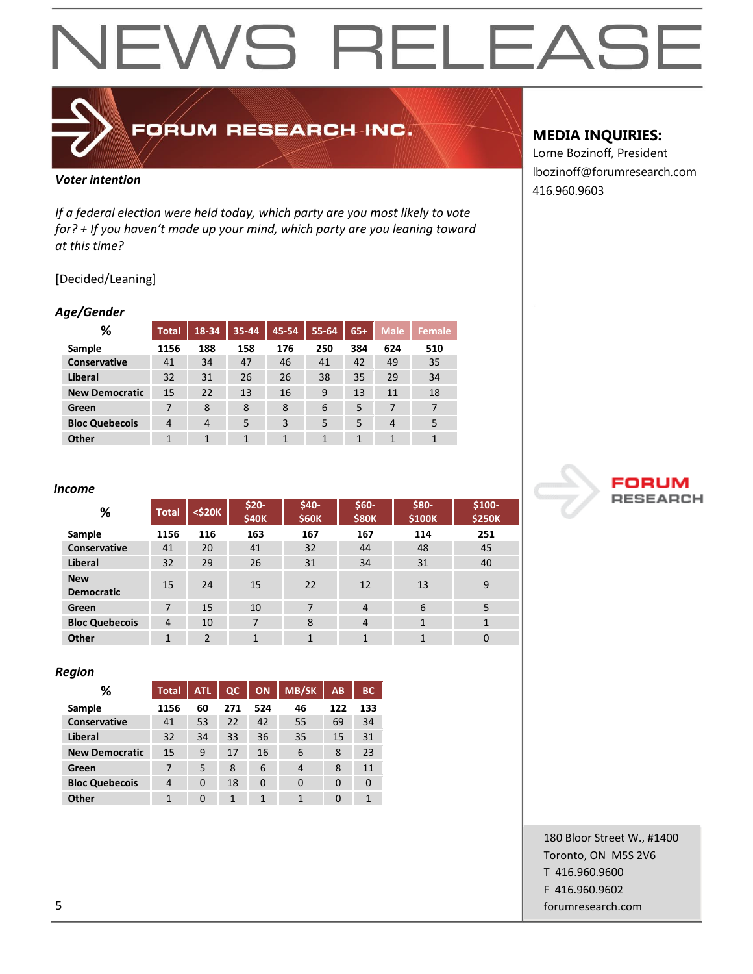

### FORUM RESEARCH INC.

#### *Voter intention*

*If a federal election were held today, which party are you most likely to vote for? + If you haven't made up your mind, which party are you leaning toward at this time?*

#### [Decided/Leaning]

#### *Age/Gender*

| %                     | <b>Total</b> | 18-34          | 35-44 | 45-54 | 55-64 | $65+$ | <b>Male</b> | Female |
|-----------------------|--------------|----------------|-------|-------|-------|-------|-------------|--------|
| Sample                | 1156         | 188            | 158   | 176   | 250   | 384   | 624         | 510    |
| <b>Conservative</b>   | 41           | 34             | 47    | 46    | 41    | 42    | 49          | 35     |
| Liberal               | 32           | 31             | 26    | 26    | 38    | 35    | 29          | 34     |
| <b>New Democratic</b> | 15           | 22             | 13    | 16    | 9     | 13    | 11          | 18     |
| Green                 |              | 8              | 8     | 8     | 6     | 5     | 7           | 7      |
| <b>Bloc Quebecois</b> | 4            | $\overline{4}$ | 5     | 3     | 5     | 5     | 4           | 5      |
| Other                 |              | 1              | 1     | 1     | 1     | 1     | 1           | 1      |

#### *Income*

| %                               | <b>Total</b> | $<$ \$20 $K$   | \$20-<br><b>\$40K</b> | \$40-<br><b>\$60K</b> | $$60-$<br><b>\$80K</b> | \$80-<br>\$100K | \$100-<br><b>\$250K</b> |
|---------------------------------|--------------|----------------|-----------------------|-----------------------|------------------------|-----------------|-------------------------|
| Sample                          | 1156         | 116            | 163                   | 167                   | 167                    | 114             | 251                     |
| <b>Conservative</b>             | 41           | 20             | 41                    | 32                    | 44                     | 48              | 45                      |
| Liberal                         | 32           | 29             | 26                    | 31                    | 34                     | 31              | 40                      |
| <b>New</b><br><b>Democratic</b> | 15           | 24             | 15                    | 22                    | 12                     | 13              | 9                       |
| Green                           | 7            | 15             | 10                    | 7                     | 4                      | 6               | 5                       |
| <b>Bloc Quebecois</b>           | 4            | 10             | $\overline{7}$        | 8                     | 4                      | $\mathbf{1}$    | $\mathbf{1}$            |
| Other                           | 1            | $\overline{2}$ | $\mathbf{1}$          | 1                     | $\mathbf{1}$           | $\mathbf{1}$    | 0                       |

#### *Region*

| ℅                     | <b>Total</b> | ATL | $\alpha$ | <b>ON</b> | <b>MB/SK</b> | <b>AB</b> | <b>BC</b> |
|-----------------------|--------------|-----|----------|-----------|--------------|-----------|-----------|
| Sample                | 1156         | 60  | 271      | 524       | 46           | 122       | 133       |
| <b>Conservative</b>   | 41           | 53  | 22       | 42        | 55           | 69        | 34        |
| <b>Liberal</b>        | 32           | 34  | 33       | 36        | 35           | 15        | 31        |
| <b>New Democratic</b> | 15           | 9   | 17       | 16        | 6            | 8         | 23        |
| Green                 | 7            | 5   | 8        | 6         | 4            | 8         | 11        |
| <b>Bloc Quebecois</b> | 4            | 0   | 18       | 0         | 0            | 0         |           |
| Other                 | 1            | 0   | 1        | 1         | 1            | 0         | 1         |

### **MEDIA INQUIRIES:**

Lorne Bozinoff, President lbozinoff@forumresearch.com 416.960.9603



180 Bloor Street W., #1400 Toronto, ON M5S 2V6 T 416.960.9600 F 416.960.9602 5 forumresearch.com